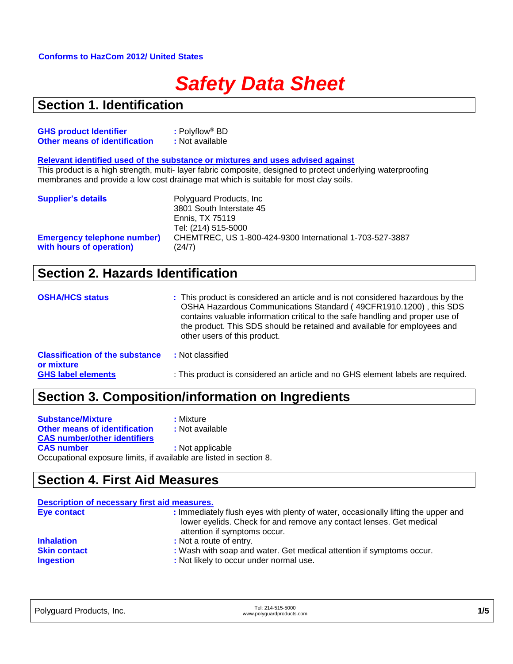#### **Conforms to HazCom 2012/ United States**

# *Safety Data Sheet*

#### **Section 1. Identification**

| <b>GHS product Identifier</b>        | $:$ Polyflow® BD |
|--------------------------------------|------------------|
| <b>Other means of identification</b> | : Not available  |

**Relevant identified used of the substance or mixtures and uses advised against**

This product is a high strength, multi- layer fabric composite, designed to protect underlying waterproofing membranes and provide a low cost drainage mat which is suitable for most clay soils.

| <b>Supplier's details</b>          | Polyguard Products, Inc.<br>3801 South Interstate 45<br>Ennis, TX 75119<br>Tel: (214) 515-5000 |
|------------------------------------|------------------------------------------------------------------------------------------------|
| <b>Emergency telephone number)</b> | CHEMTREC, US 1-800-424-9300 International 1-703-527-3887                                       |
| with hours of operation)           | (24/7)                                                                                         |

#### **Section 2. Hazards Identification**

| <b>OSHA/HCS status</b>                               | : This product is considered an article and is not considered hazardous by the<br>OSHA Hazardous Communications Standard (49CFR1910.1200), this SDS<br>contains valuable information critical to the safe handling and proper use of<br>the product. This SDS should be retained and available for employees and<br>other users of this product. |
|------------------------------------------------------|--------------------------------------------------------------------------------------------------------------------------------------------------------------------------------------------------------------------------------------------------------------------------------------------------------------------------------------------------|
| <b>Classification of the substance</b><br>or mixture | : Not classified                                                                                                                                                                                                                                                                                                                                 |
| <b>GHS label elements</b>                            | : This product is considered an article and no GHS element labels are required.                                                                                                                                                                                                                                                                  |

#### **Section 3. Composition/information on Ingredients**

| <b>Substance/Mixture</b>                                            | : Mixture        |
|---------------------------------------------------------------------|------------------|
| <b>Other means of identification</b>                                | : Not available  |
| <b>CAS number/other identifiers</b>                                 |                  |
| <b>CAS number</b>                                                   | : Not applicable |
| Occupational exposure limits, if available are listed in section 8. |                  |

#### **Section 4. First Aid Measures**

| Description of necessary first aid measures. |                                                                                                                                                                                          |  |
|----------------------------------------------|------------------------------------------------------------------------------------------------------------------------------------------------------------------------------------------|--|
| Eye contact                                  | : Immediately flush eyes with plenty of water, occasionally lifting the upper and<br>lower eyelids. Check for and remove any contact lenses. Get medical<br>attention if symptoms occur. |  |
| <b>Inhalation</b>                            | : Not a route of entry.                                                                                                                                                                  |  |
| <b>Skin contact</b><br><b>Ingestion</b>      | : Wash with soap and water. Get medical attention if symptoms occur.<br>: Not likely to occur under normal use.                                                                          |  |

| Polyguard Products, Inc. | Tel: 214-515-5000<br>www.polyguardproducts.com | 1/5 |
|--------------------------|------------------------------------------------|-----|
|                          |                                                |     |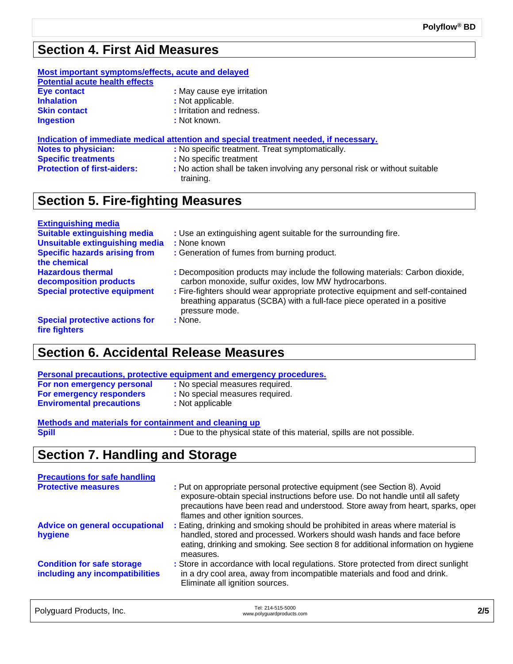### **Section 4. First Aid Measures**

| Most important symptoms/effects, acute and delayed<br><b>Potential acute health effects</b> |                                                                                       |
|---------------------------------------------------------------------------------------------|---------------------------------------------------------------------------------------|
| Eye contact                                                                                 | : May cause eye irritation                                                            |
| <b>Inhalation</b>                                                                           | : Not applicable.                                                                     |
| <b>Skin contact</b>                                                                         | : Irritation and redness.                                                             |
| <b>Ingestion</b>                                                                            | : Not known.                                                                          |
|                                                                                             | Indication of immediate medical attention and special treatment needed, if necessary. |
| <b>Notes to physician:</b>                                                                  | : No specific treatment. Treat symptomatically.                                       |
| <b>Specific treatments</b>                                                                  | : No specific treatment                                                               |
| <b>Protection of first-aiders:</b>                                                          | : No action shall be taken involving any personal risk or without suitable            |

#### **Section 5. Fire-fighting Measures**

| <b>Extinguishing media</b>                             |                                                                                                                                                                               |
|--------------------------------------------------------|-------------------------------------------------------------------------------------------------------------------------------------------------------------------------------|
| <b>Suitable extinguishing media</b>                    | : Use an extinguishing agent suitable for the surrounding fire.                                                                                                               |
| <b>Unsuitable extinguishing media</b>                  | : None known                                                                                                                                                                  |
| <b>Specific hazards arising from</b>                   | : Generation of fumes from burning product.                                                                                                                                   |
| the chemical                                           |                                                                                                                                                                               |
| <b>Hazardous thermal</b><br>decomposition products     | : Decomposition products may include the following materials: Carbon dioxide,<br>carbon monoxide, sulfur oxides, low MW hydrocarbons.                                         |
| <b>Special protective equipment</b>                    | : Fire-fighters should wear appropriate protective equipment and self-contained<br>breathing apparatus (SCBA) with a full-face piece operated in a positive<br>pressure mode. |
| <b>Special protective actions for</b><br>fire fighters | : None.                                                                                                                                                                       |

#### **Section 6. Accidental Release Measures**

| Personal precautions, protective equipment and emergency procedures. |                                 |  |
|----------------------------------------------------------------------|---------------------------------|--|
| For non emergency personal                                           | : No special measures required. |  |
| For emergency responders                                             | : No special measures required. |  |
| <b>Enviromental precautions</b>                                      | : Not applicable                |  |
|                                                                      |                                 |  |

training.

| Methods and materials for containment and cleaning up |                                                                        |
|-------------------------------------------------------|------------------------------------------------------------------------|
| <b>Spill</b>                                          | : Due to the physical state of this material, spills are not possible. |

## **Section 7. Handling and Storage**

| <b>Precautions for safe handling</b>                                 |                                                                                                                                                                                                                                                                                      |
|----------------------------------------------------------------------|--------------------------------------------------------------------------------------------------------------------------------------------------------------------------------------------------------------------------------------------------------------------------------------|
| <b>Protective measures</b>                                           | : Put on appropriate personal protective equipment (see Section 8). Avoid<br>exposure-obtain special instructions before use. Do not handle until all safety<br>precautions have been read and understood. Store away from heart, sparks, oper<br>flames and other ignition sources. |
| <b>Advice on general occupational</b><br>hygiene                     | : Eating, drinking and smoking should be prohibited in areas where material is<br>handled, stored and processed. Workers should wash hands and face before<br>eating, drinking and smoking. See section 8 for additional information on hygiene<br>measures.                         |
| <b>Condition for safe storage</b><br>including any incompatibilities | : Store in accordance with local regulations. Store protected from direct sunlight<br>in a dry cool area, away from incompatible materials and food and drink.<br>Eliminate all ignition sources.                                                                                    |
|                                                                      |                                                                                                                                                                                                                                                                                      |

Polyguard Products, Inc. The Control of the Case of the Polyguard Products, Inc. Tel: 214-515-5000<br>www.polyguardproducts.com **2/5**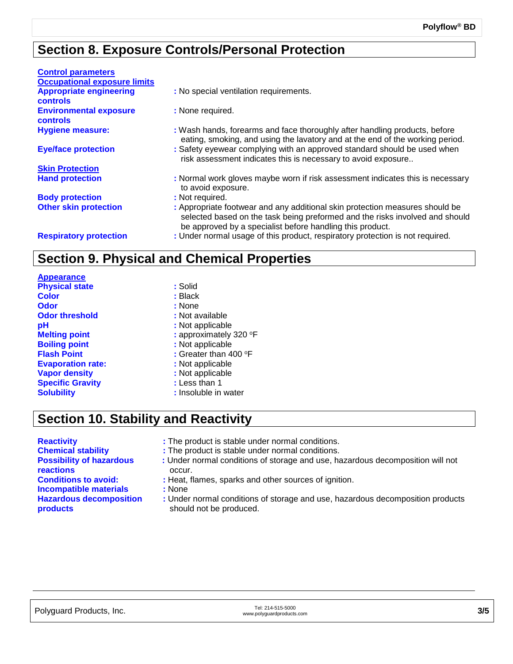#### **Section 8. Exposure Controls/Personal Protection**

| <b>Control parameters</b>                         |                                                                                                                                                                                                                           |
|---------------------------------------------------|---------------------------------------------------------------------------------------------------------------------------------------------------------------------------------------------------------------------------|
| <b>Occupational exposure limits</b>               |                                                                                                                                                                                                                           |
| <b>Appropriate engineering</b><br><b>controls</b> | : No special ventilation requirements.                                                                                                                                                                                    |
| <b>Environmental exposure</b><br><b>controls</b>  | : None required.                                                                                                                                                                                                          |
| <b>Hygiene measure:</b>                           | : Wash hands, forearms and face thoroughly after handling products, before<br>eating, smoking, and using the lavatory and at the end of the working period.                                                               |
| <b>Eye/face protection</b>                        | : Safety eyewear complying with an approved standard should be used when<br>risk assessment indicates this is necessary to avoid exposure                                                                                 |
| <b>Skin Protection</b>                            |                                                                                                                                                                                                                           |
| <b>Hand protection</b>                            | : Normal work gloves maybe worn if risk assessment indicates this is necessary<br>to avoid exposure.                                                                                                                      |
| <b>Body protection</b>                            | : Not required.                                                                                                                                                                                                           |
| <b>Other skin protection</b>                      | : Appropriate footwear and any additional skin protection measures should be<br>selected based on the task being preformed and the risks involved and should<br>be approved by a specialist before handling this product. |
| <b>Respiratory protection</b>                     | : Under normal usage of this product, respiratory protection is not required.                                                                                                                                             |

#### **Section 9. Physical and Chemical Properties**

| : Solid                |
|------------------------|
| : Black                |
| : None                 |
| : Not available        |
| : Not applicable       |
| : approximately 320 °F |
| : Not applicable       |
| : Greater than 400 °F  |
| : Not applicable       |
| : Not applicable       |
| : Less than 1          |
| : Insoluble in water   |
|                        |

#### **Section 10. Stability and Reactivity**

**Appearance**

- **Reactivity :** The product is stable under normal conditions.
- **Chemical stability :** The product is stable under normal conditions.
	- **:** Under normal conditions of storage and use, hazardous decomposition will not occur.
- **Conditions to avoid:** : Heat, flames, sparks and other sources of ignition.
	- - **:** Under normal conditions of storage and use, hazardous decomposition products should not be produced.

**Possibility of hazardous reactions Incompatible materials :** None **Hazardous decomposition products**

Polyguard Products, Inc. Tel: 214-515-5000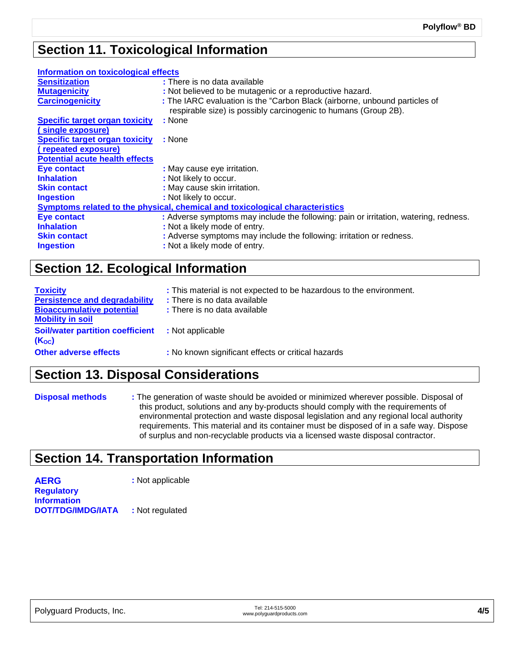#### **Section 11. Toxicological Information**

| Information on toxicological effects                                         |                                                                                                                                               |  |  |  |
|------------------------------------------------------------------------------|-----------------------------------------------------------------------------------------------------------------------------------------------|--|--|--|
| <b>Sensitization</b>                                                         | : There is no data available                                                                                                                  |  |  |  |
| <b>Mutagenicity</b>                                                          | : Not believed to be mutagenic or a reproductive hazard.                                                                                      |  |  |  |
| <b>Carcinogenicity</b>                                                       | : The IARC evaluation is the "Carbon Black (airborne, unbound particles of<br>respirable size) is possibly carcinogenic to humans (Group 2B). |  |  |  |
| <b>Specific target organ toxicity</b>                                        | : None                                                                                                                                        |  |  |  |
| (single exposure)                                                            |                                                                                                                                               |  |  |  |
| <b>Specific target organ toxicity</b>                                        | : None                                                                                                                                        |  |  |  |
| (repeated exposure)                                                          |                                                                                                                                               |  |  |  |
| <b>Potential acute health effects</b>                                        |                                                                                                                                               |  |  |  |
| <b>Eye contact</b>                                                           | : May cause eye irritation.                                                                                                                   |  |  |  |
| <b>Inhalation</b>                                                            | : Not likely to occur.                                                                                                                        |  |  |  |
| <b>Skin contact</b>                                                          | : May cause skin irritation.                                                                                                                  |  |  |  |
| <b>Ingestion</b>                                                             | : Not likely to occur.                                                                                                                        |  |  |  |
| Symptoms related to the physical, chemical and toxicological characteristics |                                                                                                                                               |  |  |  |
| <b>Eye contact</b>                                                           | : Adverse symptoms may include the following: pain or irritation, watering, redness.                                                          |  |  |  |
| <b>Inhalation</b>                                                            | : Not a likely mode of entry.                                                                                                                 |  |  |  |
| <b>Skin contact</b>                                                          | : Adverse symptoms may include the following: irritation or redness.                                                                          |  |  |  |
| <b>Ingestion</b>                                                             | : Not a likely mode of entry.                                                                                                                 |  |  |  |
|                                                                              |                                                                                                                                               |  |  |  |

#### **Section 12. Ecological Information**

| <b>Toxicity</b><br><b>Persistence and degradability</b><br><b>Bioaccumulative potential</b><br><b>Mobility in soil</b> | : This material is not expected to be hazardous to the environment.<br>: There is no data available<br>: There is no data available |
|------------------------------------------------------------------------------------------------------------------------|-------------------------------------------------------------------------------------------------------------------------------------|
| <b>Soil/water partition coefficient</b><br>$(K_{oc})$                                                                  | : Not applicable                                                                                                                    |
| <b>Other adverse effects</b>                                                                                           | : No known significant effects or critical hazards                                                                                  |

#### **Section 13. Disposal Considerations**

**Disposal methods :** The generation of waste should be avoided or minimized wherever possible. Disposal of this product, solutions and any by-products should comply with the requirements of environmental protection and waste disposal legislation and any regional local authority requirements. This material and its container must be disposed of in a safe way. Dispose of surplus and non-recyclable products via a licensed waste disposal contractor.

#### **Section 14. Transportation Information**

**AERG :** Not applicable **Regulatory Information DOT/TDG/IMDG/IATA :** Not regulated

| Polyguard Products, Inc. | Tel: 214-515-5000     |
|--------------------------|-----------------------|
|                          | www.polyguardproducts |